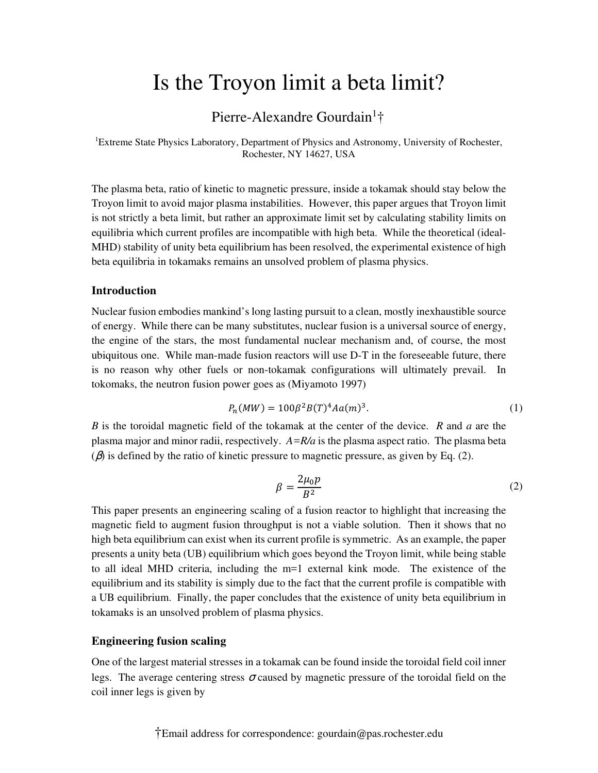# Is the Troyon limit a beta limit?

## Pierre-Alexandre Gourdain<sup>1</sup>†

<sup>1</sup>Extreme State Physics Laboratory, Department of Physics and Astronomy, University of Rochester, Rochester, NY 14627, USA

The plasma beta, ratio of kinetic to magnetic pressure, inside a tokamak should stay below the Troyon limit to avoid major plasma instabilities. However, this paper argues that Troyon limit is not strictly a beta limit, but rather an approximate limit set by calculating stability limits on equilibria which current profiles are incompatible with high beta. While the theoretical (ideal-MHD) stability of unity beta equilibrium has been resolved, the experimental existence of high beta equilibria in tokamaks remains an unsolved problem of plasma physics.

### **Introduction**

Nuclear fusion embodies mankind's long lasting pursuit to a clean, mostly inexhaustible source of energy. While there can be many substitutes, nuclear fusion is a universal source of energy, the engine of the stars, the most fundamental nuclear mechanism and, of course, the most ubiquitous one. While man-made fusion reactors will use D-T in the foreseeable future, there is no reason why other fuels or non-tokamak configurations will ultimately prevail. In tokomaks, the neutron fusion power goes as (Miyamoto 1997)

$$
P_n(MW) = 100\beta^2 B(T)^4 A a(m)^3.
$$
 (1)

*B* is the toroidal magnetic field of the tokamak at the center of the device. *R* and *a* are the plasma major and minor radii, respectively. *A=R/a* is the plasma aspect ratio. The plasma beta  $(\beta)$  is defined by the ratio of kinetic pressure to magnetic pressure, as given by Eq. (2).

$$
\beta = \frac{2\mu_0 p}{B^2} \tag{2}
$$

This paper presents an engineering scaling of a fusion reactor to highlight that increasing the magnetic field to augment fusion throughput is not a viable solution. Then it shows that no high beta equilibrium can exist when its current profile is symmetric. As an example, the paper presents a unity beta (UB) equilibrium which goes beyond the Troyon limit, while being stable to all ideal MHD criteria, including the m=1 external kink mode. The existence of the equilibrium and its stability is simply due to the fact that the current profile is compatible with a UB equilibrium. Finally, the paper concludes that the existence of unity beta equilibrium in tokamaks is an unsolved problem of plasma physics.

#### **Engineering fusion scaling**

One of the largest material stresses in a tokamak can be found inside the toroidal field coil inner legs. The average centering stress  $\sigma$  caused by magnetic pressure of the toroidal field on the coil inner legs is given by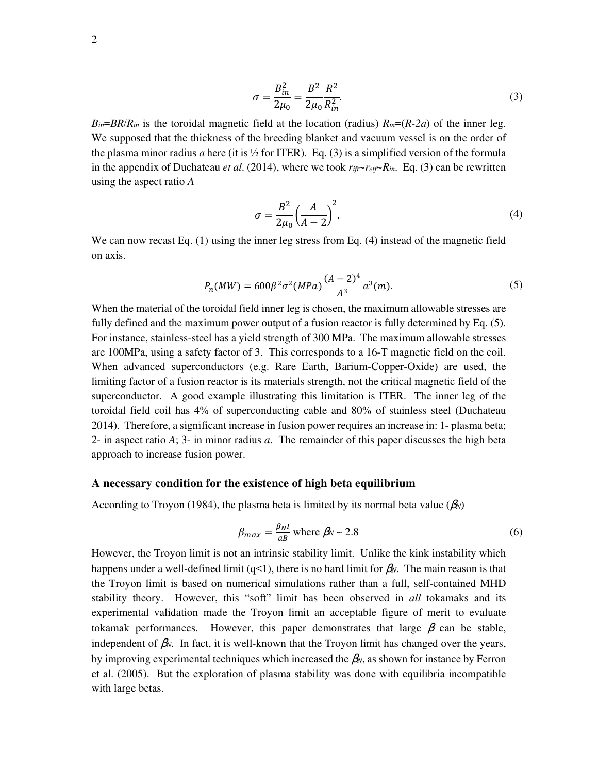$$
\sigma = \frac{B_{in}^2}{2\mu_0} = \frac{B^2}{2\mu_0} \frac{R^2}{R_{in}^2}.
$$
\n(3)

 $B_{in} = BR/R_{in}$  is the toroidal magnetic field at the location (radius)  $R_{in} = (R-2a)$  of the inner leg. We supposed that the thickness of the breeding blanket and vacuum vessel is on the order of the plasma minor radius *a* here (it is  $\frac{1}{2}$  for ITER). Eq. (3) is a simplified version of the formula in the appendix of Duchateau *et al.* (2014), where we took  $r_{\hat{i}\hat{i}} \sim r_{\hat{i}\hat{i}\hat{j}} \sim R_{\hat{i}\hat{i}\hat{k}}$ . Eq. (3) can be rewritten using the aspect ratio *A*

$$
\sigma = \frac{B^2}{2\mu_0} \left(\frac{A}{A-2}\right)^2.
$$
\n<sup>(4)</sup>

We can now recast Eq. (1) using the inner leg stress from Eq. (4) instead of the magnetic field on axis.

$$
P_n(MW) = 600\beta^2 \sigma^2 (MPa) \frac{(A-2)^4}{A^3} a^3(m).
$$
 (5)

When the material of the toroidal field inner leg is chosen, the maximum allowable stresses are fully defined and the maximum power output of a fusion reactor is fully determined by Eq. (5). For instance, stainless-steel has a yield strength of 300 MPa. The maximum allowable stresses are 100MPa, using a safety factor of 3. This corresponds to a 16-T magnetic field on the coil. When advanced superconductors (e.g. Rare Earth, Barium-Copper-Oxide) are used, the limiting factor of a fusion reactor is its materials strength, not the critical magnetic field of the superconductor. A good example illustrating this limitation is ITER. The inner leg of the toroidal field coil has 4% of superconducting cable and 80% of stainless steel (Duchateau 2014). Therefore, a significant increase in fusion power requires an increase in: 1- plasma beta; 2- in aspect ratio *A*; 3- in minor radius *a*. The remainder of this paper discusses the high beta approach to increase fusion power.

#### **A necessary condition for the existence of high beta equilibrium**

According to Troyon (1984), the plasma beta is limited by its normal beta value ( $\beta_N$ )

$$
\beta_{max} = \frac{\beta_N l}{aB} \text{ where } \beta_N \sim 2.8 \tag{6}
$$

However, the Troyon limit is not an intrinsic stability limit. Unlike the kink instability which happens under a well-defined limit (q<1), there is no hard limit for β*N*. The main reason is that the Troyon limit is based on numerical simulations rather than a full, self-contained MHD stability theory. However, this "soft" limit has been observed in *all* tokamaks and its experimental validation made the Troyon limit an acceptable figure of merit to evaluate tokamak performances. However, this paper demonstrates that large  $\beta$  can be stable, independent of  $\beta_N$ . In fact, it is well-known that the Troyon limit has changed over the years, by improving experimental techniques which increased the β*N*, as shown for instance by Ferron et al. (2005). But the exploration of plasma stability was done with equilibria incompatible with large betas.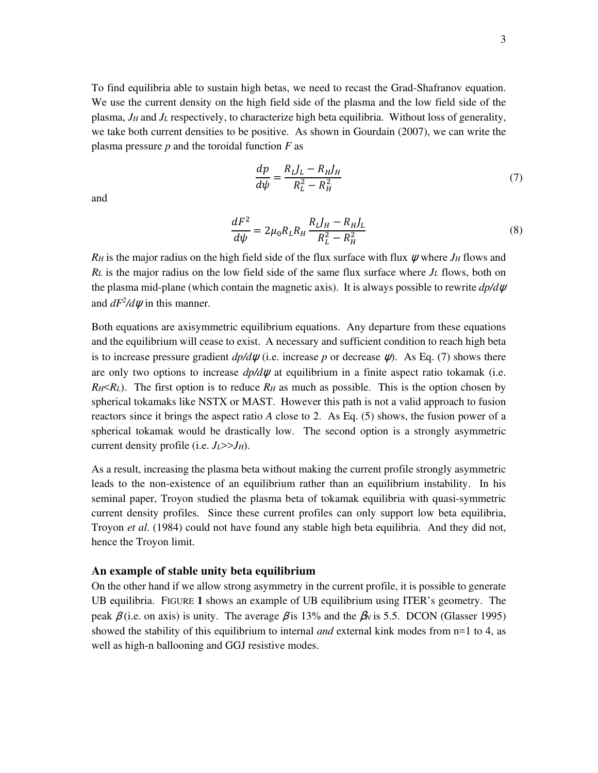To find equilibria able to sustain high betas, we need to recast the Grad-Shafranov equation. We use the current density on the high field side of the plasma and the low field side of the plasma, *JH* and *JL* respectively, to characterize high beta equilibria. Without loss of generality, we take both current densities to be positive. As shown in Gourdain (2007), we can write the plasma pressure *p* and the toroidal function *F* as

$$
\frac{dp}{d\psi} = \frac{R_L J_L - R_H J_H}{R_L^2 - R_H^2} \tag{7}
$$

and

$$
\frac{dF^2}{d\psi} = 2\mu_0 R_L R_H \frac{R_L J_H - R_H J_L}{R_L^2 - R_H^2}
$$
\n(8)

*RH* is the major radius on the high field side of the flux surface with flux  $\psi$  where *JH* flows and  $R_L$  is the major radius on the low field side of the same flux surface where  $J_L$  flows, both on the plasma mid-plane (which contain the magnetic axis). It is always possible to rewrite *dp/d*ψ and  $dF^2/d\psi$  in this manner.

Both equations are axisymmetric equilibrium equations. Any departure from these equations and the equilibrium will cease to exist. A necessary and sufficient condition to reach high beta is to increase pressure gradient  $dp/d\psi$  (i.e. increase p or decrease  $\psi$ ). As Eq. (7) shows there are only two options to increase *dp/d*ψ at equilibrium in a finite aspect ratio tokamak (i.e.  $R$ *H* $\lt$ *R*<sup>*L*</sup>). The first option is to reduce  $R$ *H* as much as possible. This is the option chosen by spherical tokamaks like NSTX or MAST. However this path is not a valid approach to fusion reactors since it brings the aspect ratio *A* close to 2. As Eq. (5) shows, the fusion power of a spherical tokamak would be drastically low. The second option is a strongly asymmetric current density profile (i.e.  $J_L$ >> $J_H$ ).

As a result, increasing the plasma beta without making the current profile strongly asymmetric leads to the non-existence of an equilibrium rather than an equilibrium instability. In his seminal paper, Troyon studied the plasma beta of tokamak equilibria with quasi-symmetric current density profiles. Since these current profiles can only support low beta equilibria, Troyon *et al*. (1984) could not have found any stable high beta equilibria. And they did not, hence the Troyon limit.

#### **An example of stable unity beta equilibrium**

On the other hand if we allow strong asymmetry in the current profile, it is possible to generate UB equilibria. FIGURE **1** shows an example of UB equilibrium using ITER's geometry. The peak  $\beta$  (i.e. on axis) is unity. The average  $\beta$  is 13% and the  $\beta_N$  is 5.5. DCON (Glasser 1995) showed the stability of this equilibrium to internal *and* external kink modes from n=1 to 4, as well as high-n ballooning and GGJ resistive modes.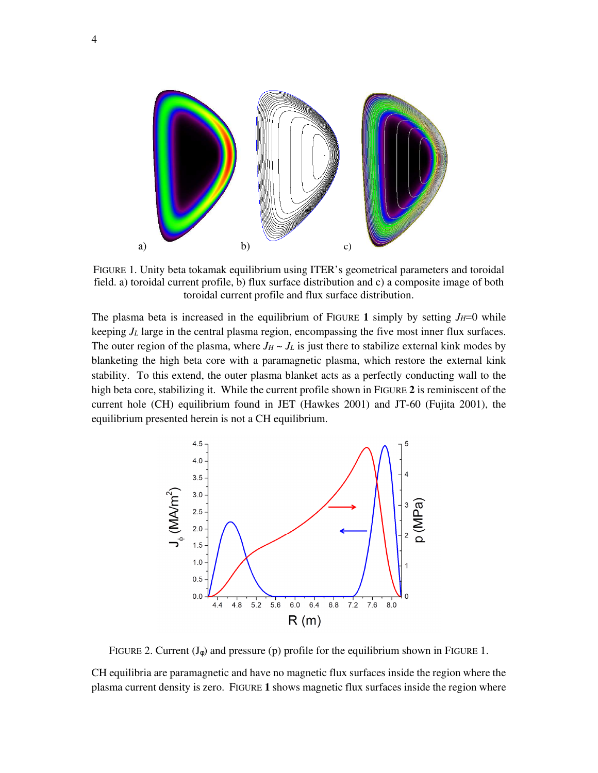

FIGURE 1. Unity beta tokamak equilibrium using ITER's geometrical parameters and toroidal field. a) toroidal current profile, b) flux surface distribution and c) a composite image of both toroidal current profile and flux surface distribution.

The plasma beta is increased in the equilibrium of FIGURE 1 simply by setting  $J_H=0$  while keeping  $J_L$  large in the central plasma region, encompassing the five most inner flux surfaces. The outer region of the plasma, where  $J_H \sim J_L$  is just there to stabilize external kink modes by blanketing the high beta core with a paramagnetic plasma, which restore the external kink stability. To this extend, the outer plasma blanket acts as a perfectly conducting wall to the high beta core, stabilizing it. While the current profile shown in FIGURE **2** is reminiscent of the current hole (CH) equilibrium found in JET (Hawkes 2001) and JT-60 (Fujita 2001), the equilibrium presented herein is not a CH equilibrium.



FIGURE 2. Current  $(J_{\phi})$  and pressure (p) profile for the equilibrium shown in FIGURE 1.

CH equilibria are paramagnetic and have no magnetic flux surfaces inside the region where the plasma current density is zero. FIGURE **1** shows magnetic flux surfaces inside the region where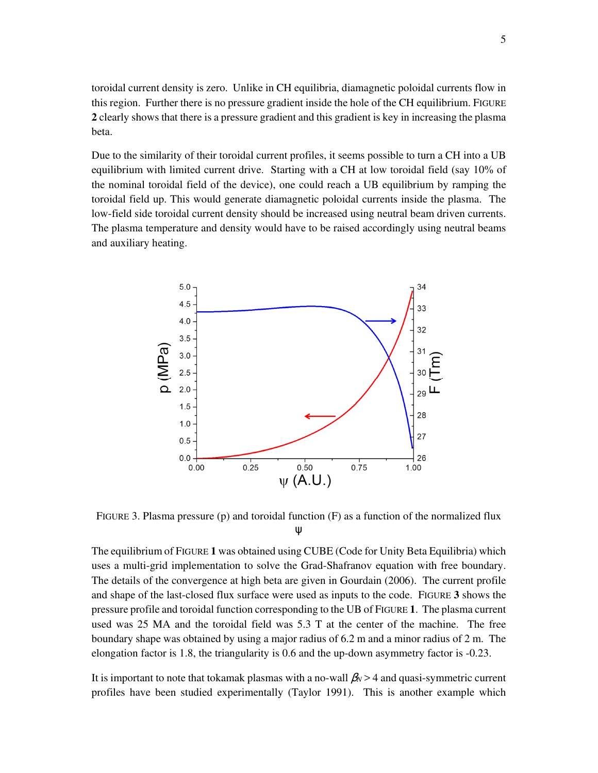toroidal current density is zero. Unlike in CH equilibria, diamagnetic poloidal currents flow in this region. Further there is no pressure gradient inside the hole of the CH equilibrium. FIGURE **2** clearly shows that there is a pressure gradient and this gradient is key in increasing the plasma beta.

Due to the similarity of their toroidal current profiles, it seems possible to turn a CH into a UB equilibrium with limited current drive. Starting with a CH at low toroidal field (say 10% of the nominal toroidal field of the device), one could reach a UB equilibrium by ramping the toroidal field up. This would generate diamagnetic poloidal currents inside the plasma. The low-field side toroidal current density should be increased using neutral beam driven currents. The plasma temperature and density would have to be raised accordingly using neutral beams and auxiliary heating.



FIGURE 3. Plasma pressure (p) and toroidal function (F) as a function of the normalized flux ψ

The equilibrium of FIGURE **1** was obtained using CUBE (Code for Unity Beta Equilibria) which uses a multi-grid implementation to solve the Grad-Shafranov equation with free boundary. The details of the convergence at high beta are given in Gourdain (2006). The current profile and shape of the last-closed flux surface were used as inputs to the code. FIGURE **3** shows the pressure profile and toroidal function corresponding to the UB of FIGURE **1**. The plasma current used was 25 MA and the toroidal field was 5.3 T at the center of the machine. The free boundary shape was obtained by using a major radius of 6.2 m and a minor radius of 2 m. The elongation factor is 1.8, the triangularity is 0.6 and the up-down asymmetry factor is -0.23.

It is important to note that tokamak plasmas with a no-wall  $\beta_N > 4$  and quasi-symmetric current profiles have been studied experimentally (Taylor 1991). This is another example which